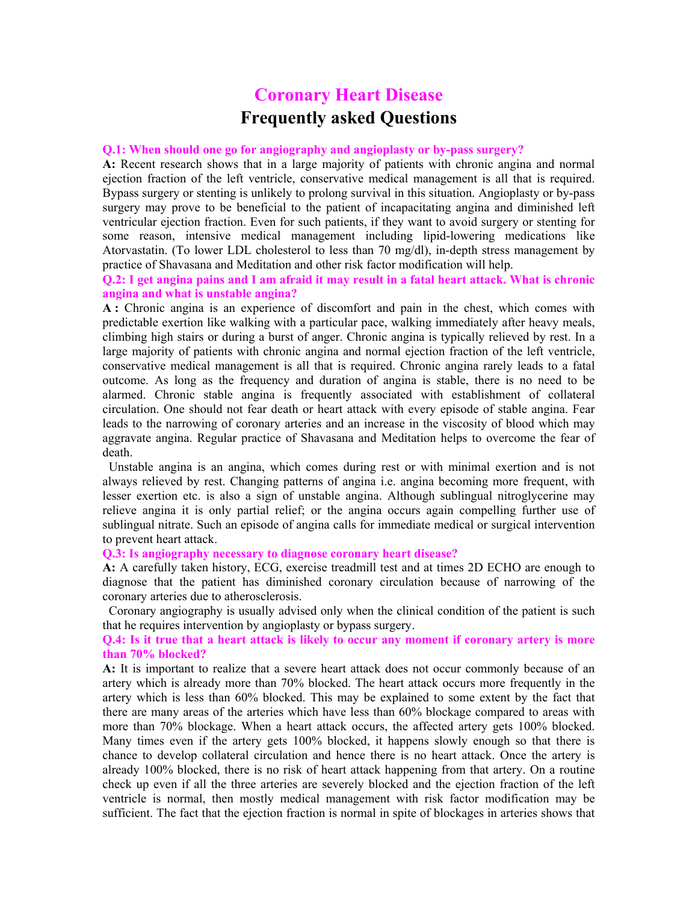# **Coronary Heart Disease Frequently asked Questions**

### **Q.1: When should one go for angiography and angioplasty or by-pass surgery?**

**A:** Recent research shows that in a large majority of patients with chronic angina and normal ejection fraction of the left ventricle, conservative medical management is all that is required. Bypass surgery or stenting is unlikely to prolong survival in this situation. Angioplasty or by-pass surgery may prove to be beneficial to the patient of incapacitating angina and diminished left ventricular ejection fraction. Even for such patients, if they want to avoid surgery or stenting for some reason, intensive medical management including lipid-lowering medications like Atorvastatin. (To lower LDL cholesterol to less than 70 mg/dl), in-depth stress management by practice of Shavasana and Meditation and other risk factor modification will help.

## **Q.2: I get angina pains and I am afraid it may result in a fatal heart attack. What is chronic angina and what is unstable angina?**

**A :** Chronic angina is an experience of discomfort and pain in the chest, which comes with predictable exertion like walking with a particular pace, walking immediately after heavy meals, climbing high stairs or during a burst of anger. Chronic angina is typically relieved by rest. In a large majority of patients with chronic angina and normal ejection fraction of the left ventricle, conservative medical management is all that is required. Chronic angina rarely leads to a fatal outcome. As long as the frequency and duration of angina is stable, there is no need to be alarmed. Chronic stable angina is frequently associated with establishment of collateral circulation. One should not fear death or heart attack with every episode of stable angina. Fear leads to the narrowing of coronary arteries and an increase in the viscosity of blood which may aggravate angina. Regular practice of Shavasana and Meditation helps to overcome the fear of death.

 Unstable angina is an angina, which comes during rest or with minimal exertion and is not always relieved by rest. Changing patterns of angina i.e. angina becoming more frequent, with lesser exertion etc. is also a sign of unstable angina. Although sublingual nitroglycerine may relieve angina it is only partial relief; or the angina occurs again compelling further use of sublingual nitrate. Such an episode of angina calls for immediate medical or surgical intervention to prevent heart attack.

#### **Q.3: Is angiography necessary to diagnose coronary heart disease?**

**A:** A carefully taken history, ECG, exercise treadmill test and at times 2D ECHO are enough to diagnose that the patient has diminished coronary circulation because of narrowing of the coronary arteries due to atherosclerosis.

 Coronary angiography is usually advised only when the clinical condition of the patient is such that he requires intervention by angioplasty or bypass surgery.

## **Q.4: Is it true that a heart attack is likely to occur any moment if coronary artery is more than 70% blocked?**

**A:** It is important to realize that a severe heart attack does not occur commonly because of an artery which is already more than 70% blocked. The heart attack occurs more frequently in the artery which is less than 60% blocked. This may be explained to some extent by the fact that there are many areas of the arteries which have less than 60% blockage compared to areas with more than 70% blockage. When a heart attack occurs, the affected artery gets 100% blocked. Many times even if the artery gets 100% blocked, it happens slowly enough so that there is chance to develop collateral circulation and hence there is no heart attack. Once the artery is already 100% blocked, there is no risk of heart attack happening from that artery. On a routine check up even if all the three arteries are severely blocked and the ejection fraction of the left ventricle is normal, then mostly medical management with risk factor modification may be sufficient. The fact that the ejection fraction is normal in spite of blockages in arteries shows that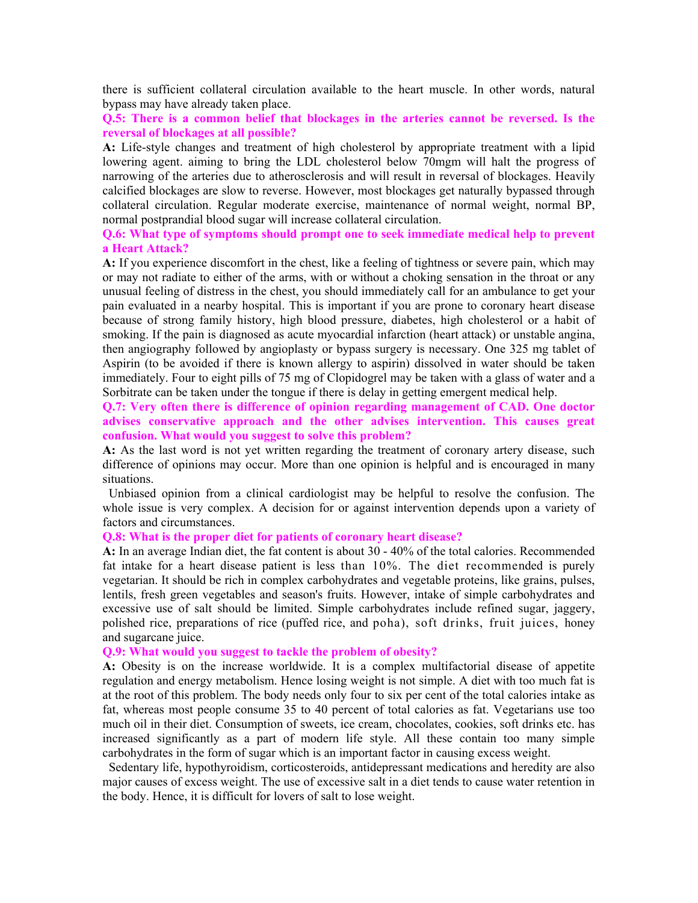there is sufficient collateral circulation available to the heart muscle. In other words, natural bypass may have already taken place.

**Q.5: There is a common belief that blockages in the arteries cannot be reversed. Is the reversal of blockages at all possible?**

**A:** Life-style changes and treatment of high cholesterol by appropriate treatment with a lipid lowering agent. aiming to bring the LDL cholesterol below 70mgm will halt the progress of narrowing of the arteries due to atherosclerosis and will result in reversal of blockages. Heavily calcified blockages are slow to reverse. However, most blockages get naturally bypassed through collateral circulation. Regular moderate exercise, maintenance of normal weight, normal BP, normal postprandial blood sugar will increase collateral circulation.

## **Q.6: What type of symptoms should prompt one to seek immediate medical help to prevent a Heart Attack?**

**A:** If you experience discomfort in the chest, like a feeling of tightness or severe pain, which may or may not radiate to either of the arms, with or without a choking sensation in the throat or any unusual feeling of distress in the chest, you should immediately call for an ambulance to get your pain evaluated in a nearby hospital. This is important if you are prone to coronary heart disease because of strong family history, high blood pressure, diabetes, high cholesterol or a habit of smoking. If the pain is diagnosed as acute myocardial infarction (heart attack) or unstable angina, then angiography followed by angioplasty or bypass surgery is necessary. One 325 mg tablet of Aspirin (to be avoided if there is known allergy to aspirin) dissolved in water should be taken immediately. Four to eight pills of 75 mg of Clopidogrel may be taken with a glass of water and a Sorbitrate can be taken under the tongue if there is delay in getting emergent medical help.

**Q.7: Very often there is difference of opinion regarding management of CAD. One doctor advises conservative approach and the other advises intervention. This causes great confusion. What would you suggest to solve this problem?**

**A:** As the last word is not yet written regarding the treatment of coronary artery disease, such difference of opinions may occur. More than one opinion is helpful and is encouraged in many situations.

 Unbiased opinion from a clinical cardiologist may be helpful to resolve the confusion. The whole issue is very complex. A decision for or against intervention depends upon a variety of factors and circumstances.

#### **Q.8: What is the proper diet for patients of coronary heart disease?**

**A:** In an average Indian diet, the fat content is about 30 - 40% of the total calories. Recommended fat intake for a heart disease patient is less than 10%. The diet recommended is purely vegetarian. It should be rich in complex carbohydrates and vegetable proteins, like grains, pulses, lentils, fresh green vegetables and season's fruits. However, intake of simple carbohydrates and excessive use of salt should be limited. Simple carbohydrates include refined sugar, jaggery, polished rice, preparations of rice (puffed rice, and poha), soft drinks, fruit juices, honey and sugarcane juice.

#### **Q.9: What would you suggest to tackle the problem of obesity?**

**A:** Obesity is on the increase worldwide. It is a complex multifactorial disease of appetite regulation and energy metabolism. Hence losing weight is not simple. A diet with too much fat is at the root of this problem. The body needs only four to six per cent of the total calories intake as fat, whereas most people consume 35 to 40 percent of total calories as fat. Vegetarians use too much oil in their diet. Consumption of sweets, ice cream, chocolates, cookies, soft drinks etc. has increased significantly as a part of modern life style. All these contain too many simple carbohydrates in the form of sugar which is an important factor in causing excess weight.

 Sedentary life, hypothyroidism, corticosteroids, antidepressant medications and heredity are also major causes of excess weight. The use of excessive salt in a diet tends to cause water retention in the body. Hence, it is difficult for lovers of salt to lose weight.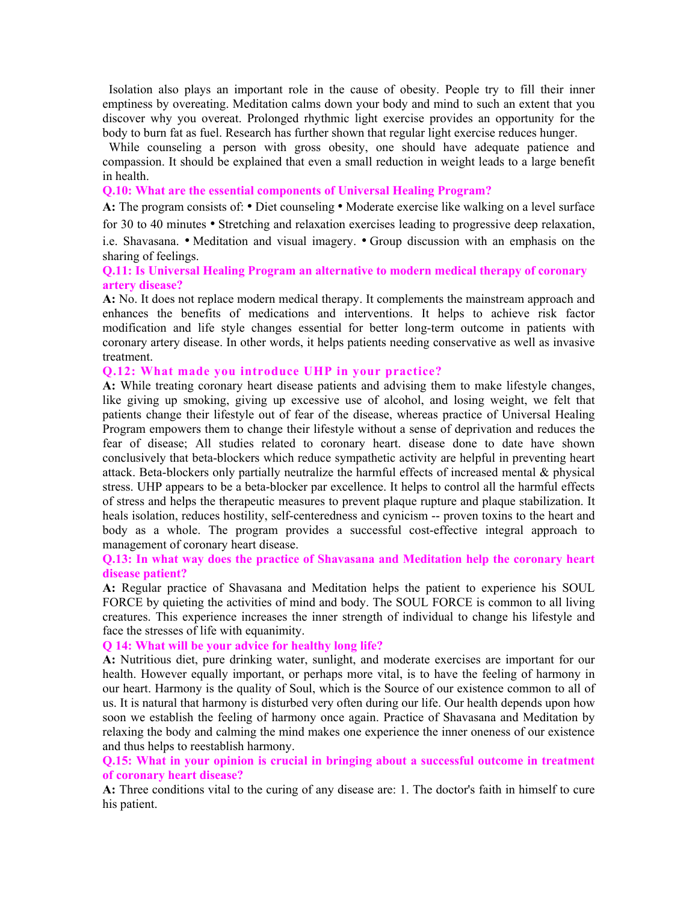Isolation also plays an important role in the cause of obesity. People try to fill their inner emptiness by overeating. Meditation calms down your body and mind to such an extent that you discover why you overeat. Prolonged rhythmic light exercise provides an opportunity for the body to burn fat as fuel. Research has further shown that regular light exercise reduces hunger.

 While counseling a person with gross obesity, one should have adequate patience and compassion. It should be explained that even a small reduction in weight leads to a large benefit in health.

**Q.10: What are the essential components of Universal Healing Program?** 

**A:** The program consists of: • Diet counseling • Moderate exercise like walking on a level surface for 30 to 40 minutes • Stretching and relaxation exercises leading to progressive deep relaxation,

i.e. Shavasana. • Meditation and visual imagery. • Group discussion with an emphasis on the sharing of feelings.

# **Q.11: Is Universal Healing Program an alternative to modern medical therapy of coronary artery disease?**

**A:** No. It does not replace modern medical therapy. It complements the mainstream approach and enhances the benefits of medications and interventions. It helps to achieve risk factor modification and life style changes essential for better long-term outcome in patients with coronary artery disease. In other words, it helps patients needing conservative as well as invasive treatment.

## **Q.12: What made you introduce UHP in your practice?**

**A:** While treating coronary heart disease patients and advising them to make lifestyle changes, like giving up smoking, giving up excessive use of alcohol, and losing weight, we felt that patients change their lifestyle out of fear of the disease, whereas practice of Universal Healing Program empowers them to change their lifestyle without a sense of deprivation and reduces the fear of disease; All studies related to coronary heart. disease done to date have shown conclusively that beta-blockers which reduce sympathetic activity are helpful in preventing heart attack. Beta-blockers only partially neutralize the harmful effects of increased mental & physical stress. UHP appears to be a beta-blocker par excellence. It helps to control all the harmful effects of stress and helps the therapeutic measures to prevent plaque rupture and plaque stabilization. It heals isolation, reduces hostility, self-centeredness and cynicism -- proven toxins to the heart and body as a whole. The program provides a successful cost-effective integral approach to management of coronary heart disease.

## **Q.13: In what way does the practice of Shavasana and Meditation help the coronary heart disease patient?**

**A:** Regular practice of Shavasana and Meditation helps the patient to experience his SOUL FORCE by quieting the activities of mind and body. The SOUL FORCE is common to all living creatures. This experience increases the inner strength of individual to change his lifestyle and face the stresses of life with equanimity.

## **Q 14: What will be your advice for healthy long life?**

**A:** Nutritious diet, pure drinking water, sunlight, and moderate exercises are important for our health. However equally important, or perhaps more vital, is to have the feeling of harmony in our heart. Harmony is the quality of Soul, which is the Source of our existence common to all of us. It is natural that harmony is disturbed very often during our life. Our health depends upon how soon we establish the feeling of harmony once again. Practice of Shavasana and Meditation by relaxing the body and calming the mind makes one experience the inner oneness of our existence and thus helps to reestablish harmony.

# **Q.15: What in your opinion is crucial in bringing about a successful outcome in treatment of coronary heart disease?**

**A:** Three conditions vital to the curing of any disease are: 1. The doctor's faith in himself to cure his patient.